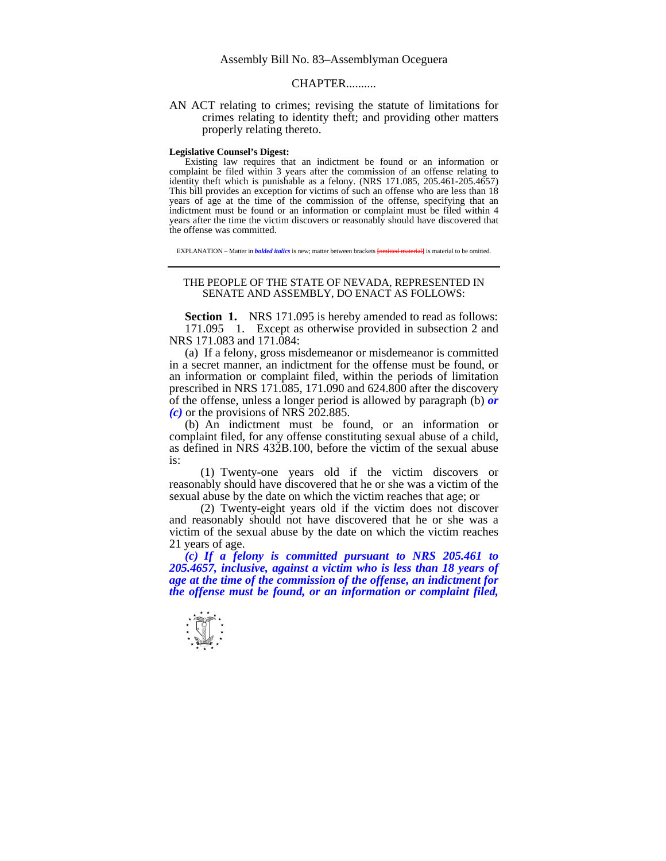## **CHAPTER**

AN ACT relating to crimes; revising the statute of limitations for crimes relating to identity theft; and providing other matters properly relating thereto.

## **Legislative Counsel's Digest:**

 Existing law requires that an indictment be found or an information or complaint be filed within 3 years after the commission of an offense relating to identity theft which is punishable as a felony. (NRS 171.085, 205.461-205.4657) This bill provides an exception for victims of such an offense who are less than 18 years of age at the time of the commission of the offense, specifying that an indictment must be found or an information or complaint must be filed within 4 years after the time the victim discovers or reasonably should have discovered that the offense was committed.

EXPLANATION – Matter in *bolded italics* is new; matter between brackets **[**omitted material**]** is material to be omitted.

## THE PEOPLE OF THE STATE OF NEVADA, REPRESENTED IN SENATE AND ASSEMBLY, DO ENACT AS FOLLOWS:

**Section 1.** NRS 171.095 is hereby amended to read as follows: 171.095 1. Except as otherwise provided in subsection 2 and NRS 171.083 and 171.084:

 (a) If a felony, gross misdemeanor or misdemeanor is committed in a secret manner, an indictment for the offense must be found, or an information or complaint filed, within the periods of limitation prescribed in NRS 171.085, 171.090 and 624.800 after the discovery of the offense, unless a longer period is allowed by paragraph (b) *or (c)* or the provisions of NRS 202.885.

 (b) An indictment must be found, or an information or complaint filed, for any offense constituting sexual abuse of a child, as defined in NRS 432B.100, before the victim of the sexual abuse is:

 (1) Twenty-one years old if the victim discovers or reasonably should have discovered that he or she was a victim of the sexual abuse by the date on which the victim reaches that age; or

 (2) Twenty-eight years old if the victim does not discover and reasonably should not have discovered that he or she was a victim of the sexual abuse by the date on which the victim reaches 21 years of age.

 *(c) If a felony is committed pursuant to NRS 205.461 to 205.4657, inclusive, against a victim who is less than 18 years of age at the time of the commission of the offense, an indictment for the offense must be found, or an information or complaint filed,*